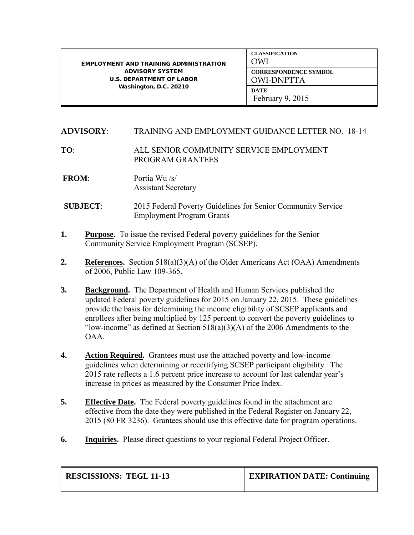| <b>EMPLOYMENT AND TRAINING ADMINISTRATION</b><br><b>ADVISORY SYSTEM</b><br><b>U.S. DEPARTMENT OF LABOR</b><br>Washington, D.C. 20210 | <b>CLASSIFICATION</b><br>OWI                      |
|--------------------------------------------------------------------------------------------------------------------------------------|---------------------------------------------------|
|                                                                                                                                      | <b>CORRESPONDENCE SYMBOL</b><br><b>OWI-DNPTTA</b> |
|                                                                                                                                      | <b>DATE</b><br>February $9, 2015$                 |

## **ADVISORY**: TRAINING AND EMPLOYMENT GUIDANCE LETTER NO. 18-14

## **TO**:ALL SENIOR COMMUNITY SERVICE EMPLOYMENT PROGRAM GRANTEES

- **FROM**:Portia Wu /s/ Assistant Secretary
- **SUBJECT**: 2015 Federal Poverty Guidelines for Senior Community Service Employment Program Grants
- **1. Purpose.** To issue the revised Federal poverty guidelines for the Senior Community Service Employment Program (SCSEP).
- **2. References.** Section 518(a)(3)(A) of the Older Americans Act (OAA) Amendments of 2006, Public Law 109-365.
- **3. Background.** The Department of Health and Human Services published the updated Federal poverty guidelines for 2015 on January 22, 2015. These guidelines provide the basis for determining the income eligibility of SCSEP applicants and enrollees after being multiplied by 125 percent to convert the poverty guidelines to "low-income" as defined at Section  $518(a)(3)(A)$  of the 2006 Amendments to the OAA.
- **4. Action Required.** Grantees must use the attached poverty and low-income guidelines when determining or recertifying SCSEP participant eligibility. The 2015 rate reflects a 1.6 percent price increase to account for last calendar year's increase in prices as measured by the Consumer Price Index.
- **5. Effective Date.** The Federal poverty guidelines found in the attachment are effective from the date they were published in the Federal Register on January 22, 2015 (80 FR 3236). Grantees should use this effective date for program operations.
- **6. Inquiries.** Please direct questions to your regional Federal Project Officer.